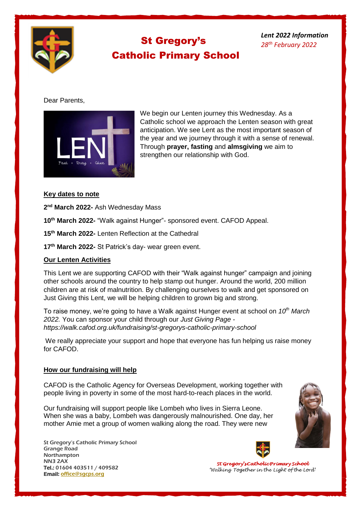

# St Gregory's Catholic Primary School

*Lent 2022 Information 28th February 2022*

### Dear Parents,



We begin our Lenten journey this Wednesday. As a Catholic school we approach the Lenten season with great anticipation. We see Lent as the most important season of the year and we journey through it with a sense of renewal. Through **prayer, fasting** and **almsgiving** we aim to strengthen our relationship with God.

#### **Key dates to note**

**2 nd March 2022-** Ash Wednesday Mass

**10th March 2022-** "Walk against Hunger"- sponsored event. CAFOD Appeal.

**15th March 2022-** Lenten Reflection at the Cathedral

**17th March 2022-** St Patrick's day- wear green event.

### **Our Lenten Activities**

This Lent we are supporting CAFOD with their "Walk against hunger" campaign and joining other schools around the country to help stamp out hunger. Around the world, 200 million children are at risk of malnutrition. By challenging ourselves to walk and get sponsored on Just Giving this Lent, we will be helping children to grown big and strong.

To raise money, we're going to have a Walk against Hunger event at school on *10th March 2022.* You can sponsor your child through our *Just Giving Page https://walk.cafod.org.uk/fundraising/st-gregorys-catholic-primary-school*

We really appreciate your support and hope that everyone has fun helping us raise money for CAFOD.

#### **How our fundraising will help**

CAFOD is the Catholic Agency for Overseas Development, working together with people living in poverty in some of the most hard-to-reach places in the world.

Our fundraising will support people like Lombeh who lives in Sierra Leone. When she was a baby, Lombeh was dangerously malnourished. One day, her mother Amie met a group of women walking along the road. They were new

St Gregory's Catholic Primary School Grange Road **Northampton** NN3 2AX Tel.: 01604 403511 / 409582 Email: [office@s](javascript:void(location.href=)[gcps.org](javascript:mt()





St Gregory's Catholic Primary School 'Walking Together in the Light of the Lord'